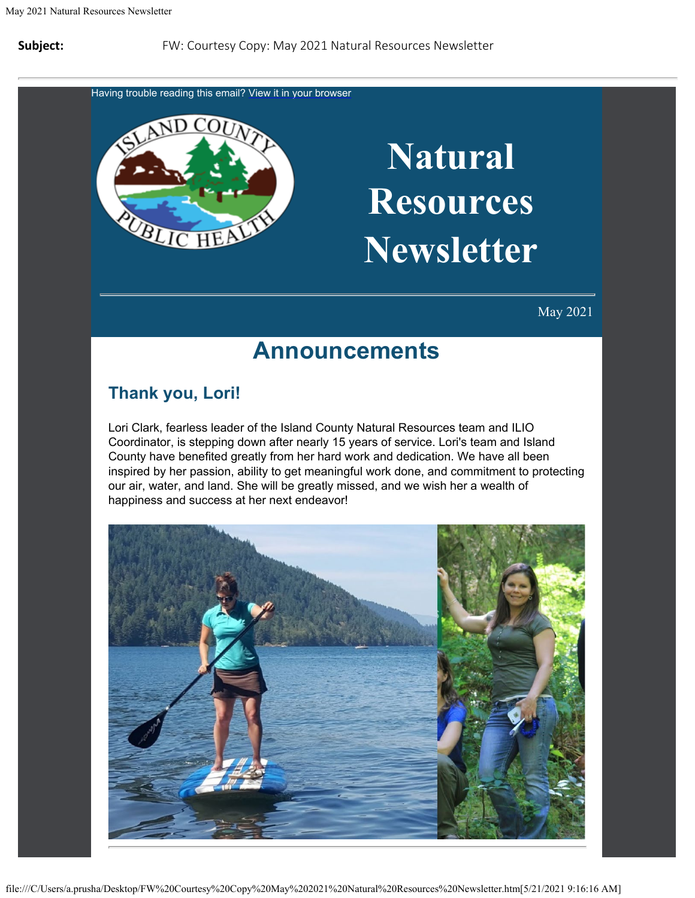Having trouble reading this email? [View](https://content.govdelivery.com/accounts/WACOISLAND/bulletins/2d9d0f3) [it in your browser](https://content.govdelivery.com/accounts/WACOISLAND/bulletins/2d9d0f3)



## **Natural Resources Newsletter**

May 2021

### **Announcements**

#### **Thank you, Lori!**

Lori Clark, fearless leader of the Island County Natural Resources team and ILIO Coordinator, is stepping down after nearly 15 years of service. Lori's team and Island County have benefited greatly from her hard work and dedication. We have all been inspired by her passion, ability to get meaningful work done, and commitment to protecting our air, water, and land. She will be greatly missed, and we wish her a wealth of happiness and success at her next endeavor!

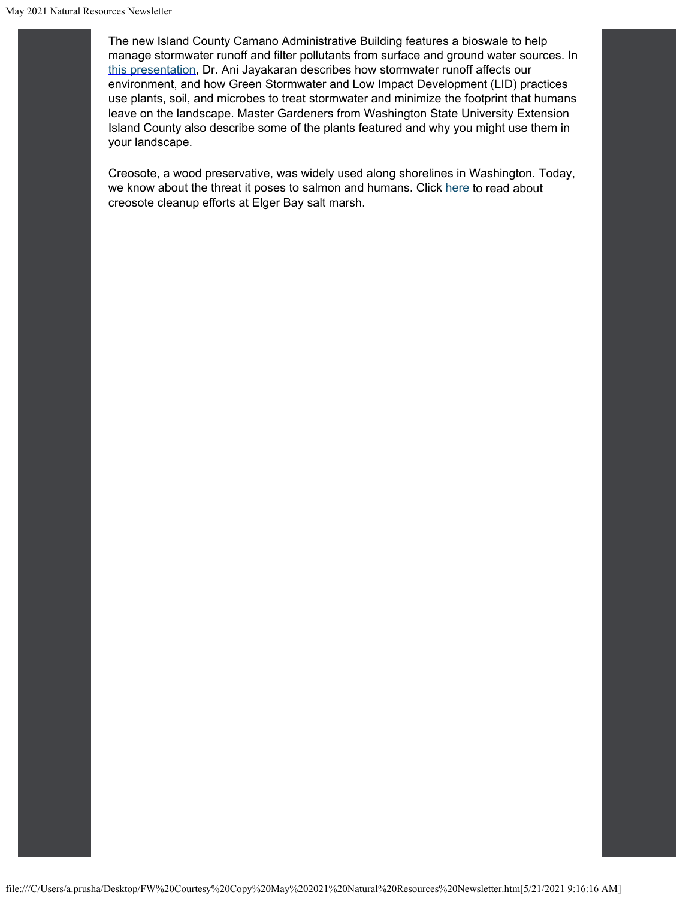# **Natural Resources Newsletter**

May 2021

### **Announcements**

#### Thank you, Lori!

ori Clark, fearless leader of the Island County Natural Resources team and II Coordinator, is stepping down after nearly 15 years of serice. oris team and Island County hae enefited greatly from her hard work and dedication. We hae all een inspired y her passion, aility to get meaningful work done, and commitment to our air, water, and land. She will e greatly missed, and we wish her a wealth of happiness and success at her net endeaor

protecting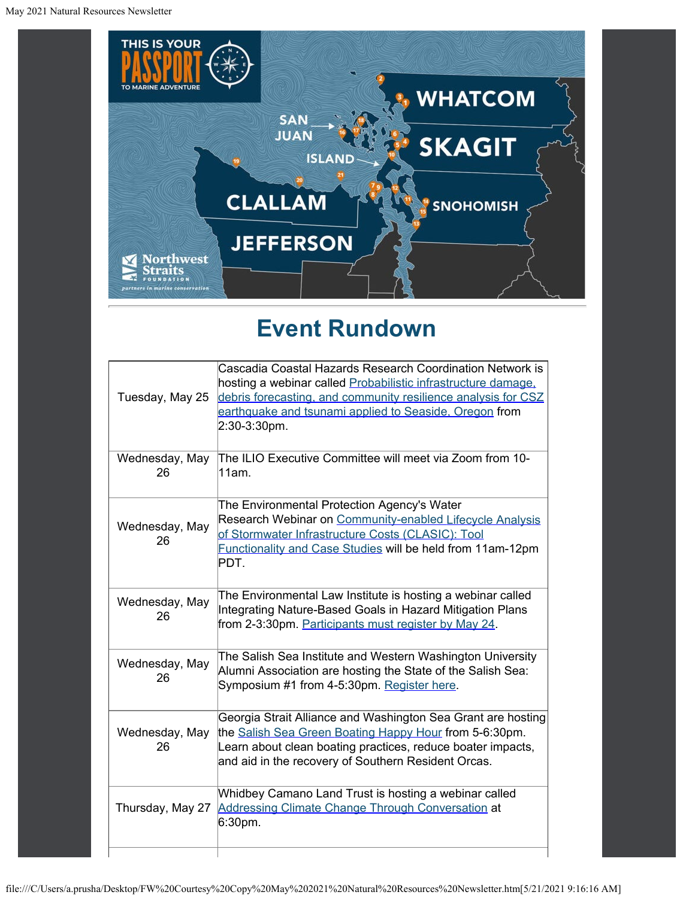

## **Event Rundown**

| Tuesday, May 25      | Cascadia Coastal Hazards Research Coordination Network is<br>hosting a webinar called Probabilistic infrastructure damage.<br>debris forecasting, and community resilience analysis for CSZ<br>earthquake and tsunami applied to Seaside, Oregon from<br>2:30-3:30pm. |
|----------------------|-----------------------------------------------------------------------------------------------------------------------------------------------------------------------------------------------------------------------------------------------------------------------|
| Wednesday, May<br>26 | The ILIO Executive Committee will meet via Zoom from 10-<br>11am.                                                                                                                                                                                                     |
| Wednesday, May<br>26 | The Environmental Protection Agency's Water<br>Research Webinar on Community-enabled Lifecycle Analysis<br>of Stormwater Infrastructure Costs (CLASIC): Tool<br>Functionality and Case Studies will be held from 11am-12pm<br>PDT.                                    |
| Wednesday, May<br>26 | The Environmental Law Institute is hosting a webinar called<br>Integrating Nature-Based Goals in Hazard Mitigation Plans<br>from 2-3:30pm. Participants must register by May 24.                                                                                      |
| Wednesday, May<br>26 | The Salish Sea Institute and Western Washington University<br>Alumni Association are hosting the State of the Salish Sea:<br>Symposium #1 from 4-5:30pm. Register here.                                                                                               |
| Wednesday, May<br>26 | Georgia Strait Alliance and Washington Sea Grant are hosting<br>the Salish Sea Green Boating Happy Hour from 5-6:30pm.<br>Learn about clean boating practices, reduce boater impacts,<br>and aid in the recovery of Southern Resident Orcas.                          |
| Thursday, May 27     | Whidbey Camano Land Trust is hosting a webinar called<br>Addressing Climate Change Through Conversation at<br>6:30pm.                                                                                                                                                 |